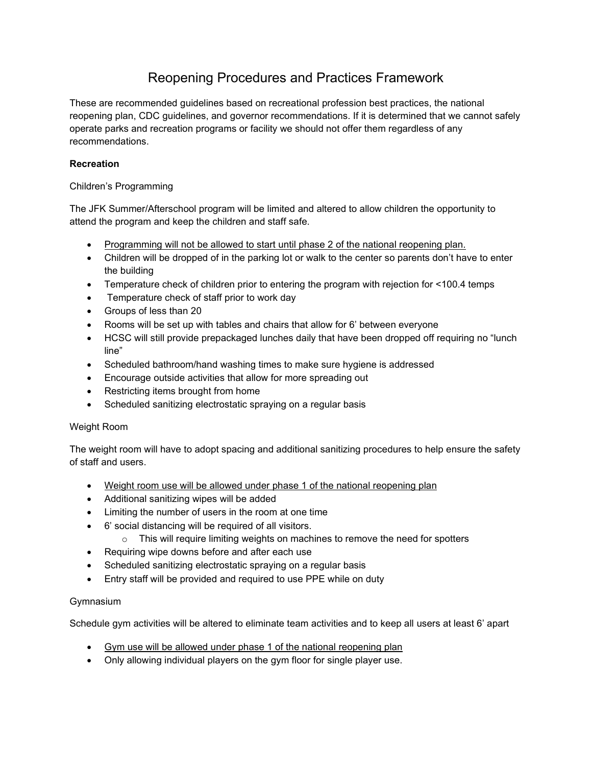# Reopening Procedures and Practices Framework

These are recommended guidelines based on recreational profession best practices, the national reopening plan, CDC guidelines, and governor recommendations. If it is determined that we cannot safely operate parks and recreation programs or facility we should not offer them regardless of any recommendations.

# **Recreation**

# Children's Programming

The JFK Summer/Afterschool program will be limited and altered to allow children the opportunity to attend the program and keep the children and staff safe.

- Programming will not be allowed to start until phase 2 of the national reopening plan.
- Children will be dropped of in the parking lot or walk to the center so parents don't have to enter the building
- Temperature check of children prior to entering the program with rejection for <100.4 temps
- Temperature check of staff prior to work day
- Groups of less than 20
- Rooms will be set up with tables and chairs that allow for 6' between everyone
- HCSC will still provide prepackaged lunches daily that have been dropped off requiring no "lunch line"
- Scheduled bathroom/hand washing times to make sure hygiene is addressed
- Encourage outside activities that allow for more spreading out
- Restricting items brought from home
- Scheduled sanitizing electrostatic spraying on a regular basis

# Weight Room

The weight room will have to adopt spacing and additional sanitizing procedures to help ensure the safety of staff and users.

- Weight room use will be allowed under phase 1 of the national reopening plan
- Additional sanitizing wipes will be added
- Limiting the number of users in the room at one time
- 6' social distancing will be required of all visitors.
	- $\circ$  This will require limiting weights on machines to remove the need for spotters
- Requiring wipe downs before and after each use
- Scheduled sanitizing electrostatic spraying on a regular basis
- Entry staff will be provided and required to use PPE while on duty

# Gymnasium

Schedule gym activities will be altered to eliminate team activities and to keep all users at least 6' apart

- Gym use will be allowed under phase 1 of the national reopening plan
- Only allowing individual players on the gym floor for single player use.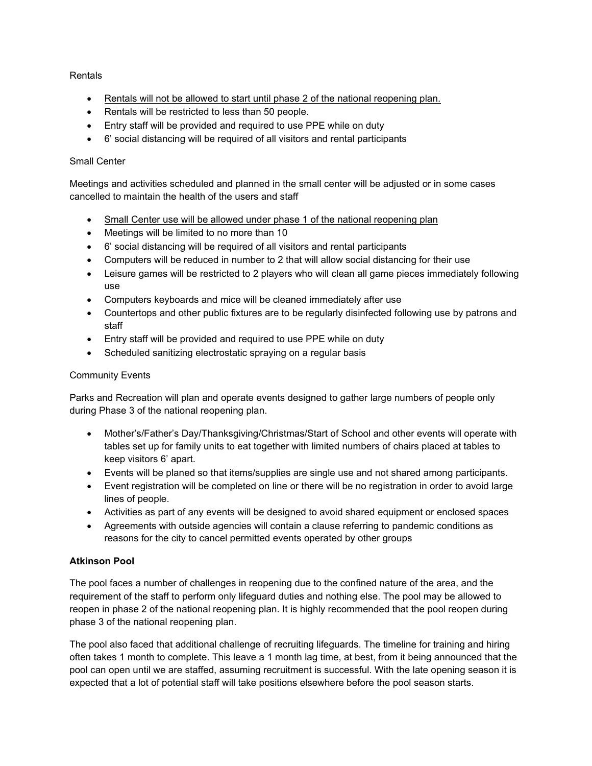### Rentals

- Rentals will not be allowed to start until phase 2 of the national reopening plan.
- Rentals will be restricted to less than 50 people.
- Entry staff will be provided and required to use PPE while on duty
- 6' social distancing will be required of all visitors and rental participants

### Small Center

Meetings and activities scheduled and planned in the small center will be adjusted or in some cases cancelled to maintain the health of the users and staff

- Small Center use will be allowed under phase 1 of the national reopening plan
- Meetings will be limited to no more than 10
- 6' social distancing will be required of all visitors and rental participants
- Computers will be reduced in number to 2 that will allow social distancing for their use
- Leisure games will be restricted to 2 players who will clean all game pieces immediately following use
- Computers keyboards and mice will be cleaned immediately after use
- Countertops and other public fixtures are to be regularly disinfected following use by patrons and staff
- Entry staff will be provided and required to use PPE while on duty
- Scheduled sanitizing electrostatic spraying on a regular basis

### Community Events

Parks and Recreation will plan and operate events designed to gather large numbers of people only during Phase 3 of the national reopening plan.

- Mother's/Father's Day/Thanksgiving/Christmas/Start of School and other events will operate with tables set up for family units to eat together with limited numbers of chairs placed at tables to keep visitors 6' apart.
- Events will be planed so that items/supplies are single use and not shared among participants.
- Event registration will be completed on line or there will be no registration in order to avoid large lines of people.
- Activities as part of any events will be designed to avoid shared equipment or enclosed spaces
- Agreements with outside agencies will contain a clause referring to pandemic conditions as reasons for the city to cancel permitted events operated by other groups

# **Atkinson Pool**

The pool faces a number of challenges in reopening due to the confined nature of the area, and the requirement of the staff to perform only lifeguard duties and nothing else. The pool may be allowed to reopen in phase 2 of the national reopening plan. It is highly recommended that the pool reopen during phase 3 of the national reopening plan.

The pool also faced that additional challenge of recruiting lifeguards. The timeline for training and hiring often takes 1 month to complete. This leave a 1 month lag time, at best, from it being announced that the pool can open until we are staffed, assuming recruitment is successful. With the late opening season it is expected that a lot of potential staff will take positions elsewhere before the pool season starts.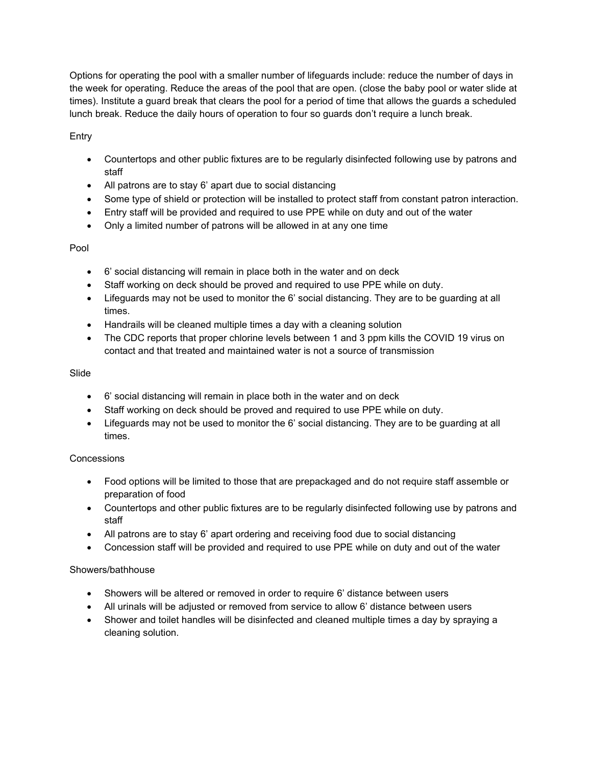Options for operating the pool with a smaller number of lifeguards include: reduce the number of days in the week for operating. Reduce the areas of the pool that are open. (close the baby pool or water slide at times). Institute a guard break that clears the pool for a period of time that allows the guards a scheduled lunch break. Reduce the daily hours of operation to four so guards don't require a lunch break.

Entry

- Countertops and other public fixtures are to be regularly disinfected following use by patrons and staff
- All patrons are to stay 6' apart due to social distancing
- Some type of shield or protection will be installed to protect staff from constant patron interaction.
- Entry staff will be provided and required to use PPE while on duty and out of the water
- Only a limited number of patrons will be allowed in at any one time

### Pool

- 6' social distancing will remain in place both in the water and on deck
- Staff working on deck should be proved and required to use PPE while on duty.
- Lifeguards may not be used to monitor the 6' social distancing. They are to be guarding at all times.
- Handrails will be cleaned multiple times a day with a cleaning solution
- The CDC reports that proper chlorine levels between 1 and 3 ppm kills the COVID 19 virus on contact and that treated and maintained water is not a source of transmission

#### Slide

- 6' social distancing will remain in place both in the water and on deck
- Staff working on deck should be proved and required to use PPE while on duty.
- Lifeguards may not be used to monitor the 6' social distancing. They are to be guarding at all times.

#### **Concessions**

- Food options will be limited to those that are prepackaged and do not require staff assemble or preparation of food
- Countertops and other public fixtures are to be regularly disinfected following use by patrons and staff
- All patrons are to stay 6' apart ordering and receiving food due to social distancing
- Concession staff will be provided and required to use PPE while on duty and out of the water

#### Showers/bathhouse

- Showers will be altered or removed in order to require 6' distance between users
- All urinals will be adjusted or removed from service to allow 6' distance between users
- Shower and toilet handles will be disinfected and cleaned multiple times a day by spraying a cleaning solution.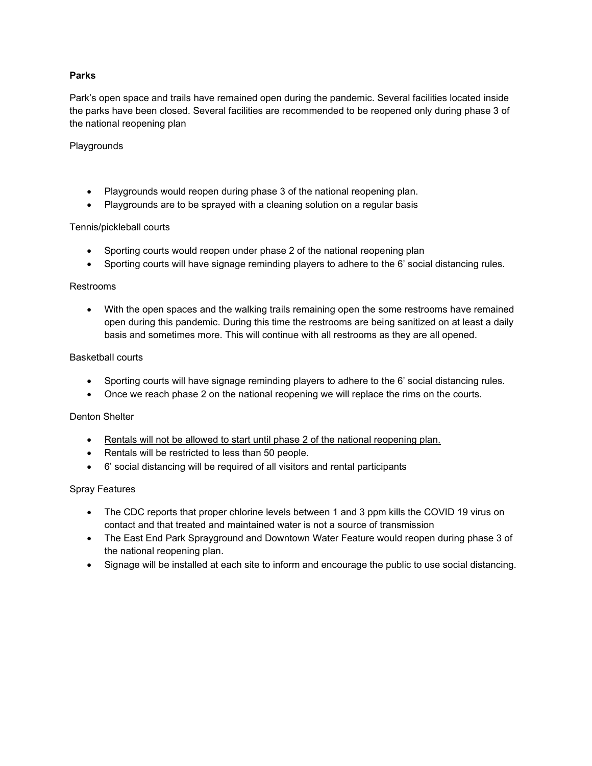### **Parks**

Park's open space and trails have remained open during the pandemic. Several facilities located inside the parks have been closed. Several facilities are recommended to be reopened only during phase 3 of the national reopening plan

#### Playgrounds

- Playgrounds would reopen during phase 3 of the national reopening plan.
- Playgrounds are to be sprayed with a cleaning solution on a regular basis

#### Tennis/pickleball courts

- Sporting courts would reopen under phase 2 of the national reopening plan
- Sporting courts will have signage reminding players to adhere to the 6' social distancing rules.

#### Restrooms

• With the open spaces and the walking trails remaining open the some restrooms have remained open during this pandemic. During this time the restrooms are being sanitized on at least a daily basis and sometimes more. This will continue with all restrooms as they are all opened.

#### Basketball courts

- Sporting courts will have signage reminding players to adhere to the 6' social distancing rules.
- Once we reach phase 2 on the national reopening we will replace the rims on the courts.

#### Denton Shelter

- Rentals will not be allowed to start until phase 2 of the national reopening plan.
- Rentals will be restricted to less than 50 people.
- 6' social distancing will be required of all visitors and rental participants

#### Spray Features

- The CDC reports that proper chlorine levels between 1 and 3 ppm kills the COVID 19 virus on contact and that treated and maintained water is not a source of transmission
- The East End Park Sprayground and Downtown Water Feature would reopen during phase 3 of the national reopening plan.
- Signage will be installed at each site to inform and encourage the public to use social distancing.